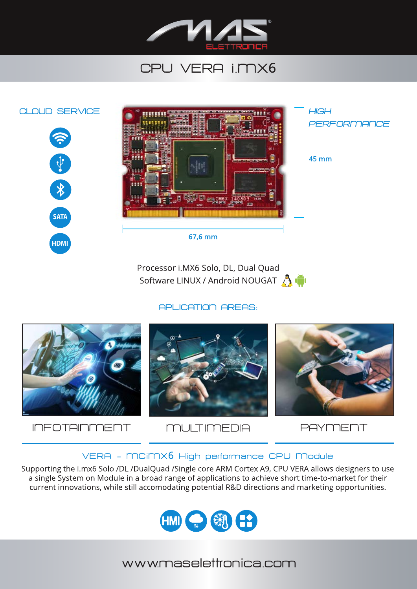

## CPU VERA I.MX6



Processor i.MX6 Solo, DL, Dual Quad Software LINUX / Android NOUGAT

**APLICATION AREAS:** 



**INFOTAINMENT** 



**PAYMENT** 

## VERA - MCIMX6 High performance CPU Module

Supporting the i.mx6 Solo /DL /DualQuad /Single core ARM Cortex A9, CPU VERA allows designers to use a single System on Module in a broad range of applications to achieve short time-to-market for their current innovations, while still accomodating potential R&D directions and marketing opportunities.



wwwmaselettronica com